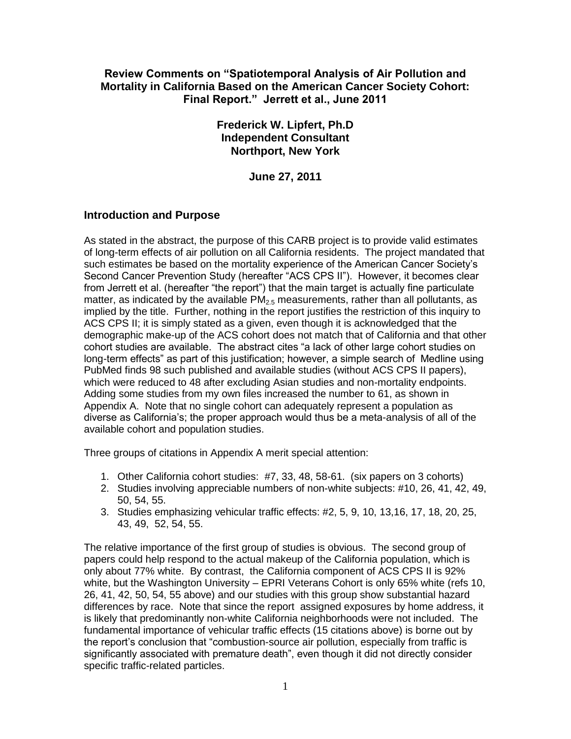### **Review Comments on "Spatiotemporal Analysis of Air Pollution and Mortality in California Based on the American Cancer Society Cohort: Final Report." Jerrett et al., June 2011**

### **Frederick W. Lipfert, Ph.D Independent Consultant Northport, New York**

**June 27, 2011**

# **Introduction and Purpose**

As stated in the abstract, the purpose of this CARB project is to provide valid estimates of long-term effects of air pollution on all California residents. The project mandated that such estimates be based on the mortality experience of the American Cancer Society's Second Cancer Prevention Study (hereafter "ACS CPS II"). However, it becomes clear from Jerrett et al. (hereafter "the report") that the main target is actually fine particulate matter, as indicated by the available  $PM_{2.5}$  measurements, rather than all pollutants, as implied by the title. Further, nothing in the report justifies the restriction of this inquiry to ACS CPS II; it is simply stated as a given, even though it is acknowledged that the demographic make-up of the ACS cohort does not match that of California and that other cohort studies are available. The abstract cites "a lack of other large cohort studies on long-term effects" as part of this justification; however, a simple search of Medline using PubMed finds 98 such published and available studies (without ACS CPS II papers), which were reduced to 48 after excluding Asian studies and non-mortality endpoints. Adding some studies from my own files increased the number to 61, as shown in Appendix A. Note that no single cohort can adequately represent a population as diverse as California's; the proper approach would thus be a meta-analysis of all of the available cohort and population studies.

Three groups of citations in Appendix A merit special attention:

- 1. Other California cohort studies: #7, 33, 48, 58-61. (six papers on 3 cohorts)
- 2. Studies involving appreciable numbers of non-white subjects: #10, 26, 41, 42, 49, 50, 54, 55.
- 3. Studies emphasizing vehicular traffic effects: #2, 5, 9, 10, 13,16, 17, 18, 20, 25, 43, 49, 52, 54, 55.

The relative importance of the first group of studies is obvious. The second group of papers could help respond to the actual makeup of the California population, which is only about 77% white. By contrast, the California component of ACS CPS II is 92% white, but the Washington University – EPRI Veterans Cohort is only 65% white (refs 10, 26, 41, 42, 50, 54, 55 above) and our studies with this group show substantial hazard differences by race. Note that since the report assigned exposures by home address, it is likely that predominantly non-white California neighborhoods were not included. The fundamental importance of vehicular traffic effects (15 citations above) is borne out by the report's conclusion that "combustion-source air pollution, especially from traffic is significantly associated with premature death", even though it did not directly consider specific traffic-related particles.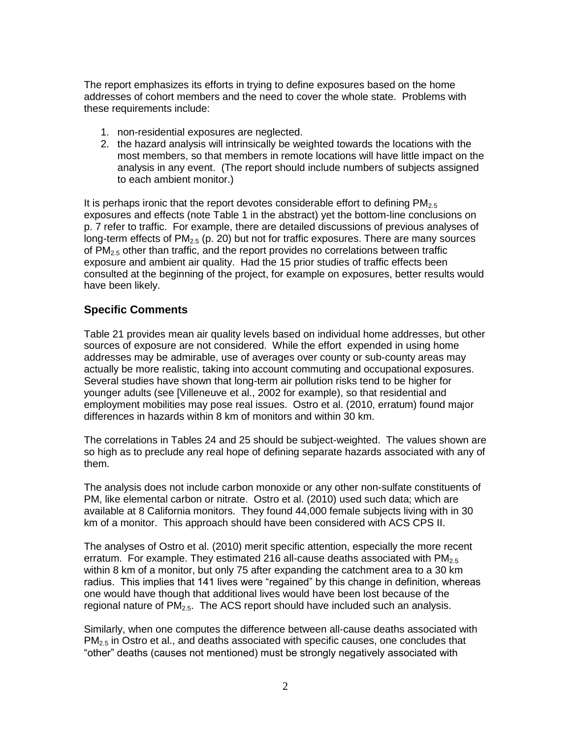The report emphasizes its efforts in trying to define exposures based on the home addresses of cohort members and the need to cover the whole state. Problems with these requirements include:

- 1. non-residential exposures are neglected.
- 2. the hazard analysis will intrinsically be weighted towards the locations with the most members, so that members in remote locations will have little impact on the analysis in any event. (The report should include numbers of subjects assigned to each ambient monitor.)

It is perhaps ironic that the report devotes considerable effort to defining  $PM_{2.5}$ exposures and effects (note Table 1 in the abstract) yet the bottom-line conclusions on p. 7 refer to traffic. For example, there are detailed discussions of previous analyses of long-term effects of  $PM<sub>2.5</sub>$  (p. 20) but not for traffic exposures. There are many sources of  $PM<sub>2.5</sub>$  other than traffic, and the report provides no correlations between traffic exposure and ambient air quality. Had the 15 prior studies of traffic effects been consulted at the beginning of the project, for example on exposures, better results would have been likely.

#### **Specific Comments**

Table 21 provides mean air quality levels based on individual home addresses, but other sources of exposure are not considered. While the effort expended in using home addresses may be admirable, use of averages over county or sub-county areas may actually be more realistic, taking into account commuting and occupational exposures. Several studies have shown that long-term air pollution risks tend to be higher for younger adults (see [Villeneuve et al., 2002 for example), so that residential and employment mobilities may pose real issues. Ostro et al. (2010, erratum) found major differences in hazards within 8 km of monitors and within 30 km.

The correlations in Tables 24 and 25 should be subject-weighted. The values shown are so high as to preclude any real hope of defining separate hazards associated with any of them.

The analysis does not include carbon monoxide or any other non-sulfate constituents of PM, like elemental carbon or nitrate. Ostro et al. (2010) used such data; which are available at 8 California monitors. They found 44,000 female subjects living with in 30 km of a monitor. This approach should have been considered with ACS CPS II.

The analyses of Ostro et al. (2010) merit specific attention, especially the more recent erratum. For example. They estimated 216 all-cause deaths associated with  $PM_{2.5}$ within 8 km of a monitor, but only 75 after expanding the catchment area to a 30 km radius. This implies that 141 lives were "regained" by this change in definition, whereas one would have though that additional lives would have been lost because of the regional nature of  $PM_{2.5}$ . The ACS report should have included such an analysis.

Similarly, when one computes the difference between all-cause deaths associated with  $PM<sub>2.5</sub>$  in Ostro et al., and deaths associated with specific causes, one concludes that "other" deaths (causes not mentioned) must be strongly negatively associated with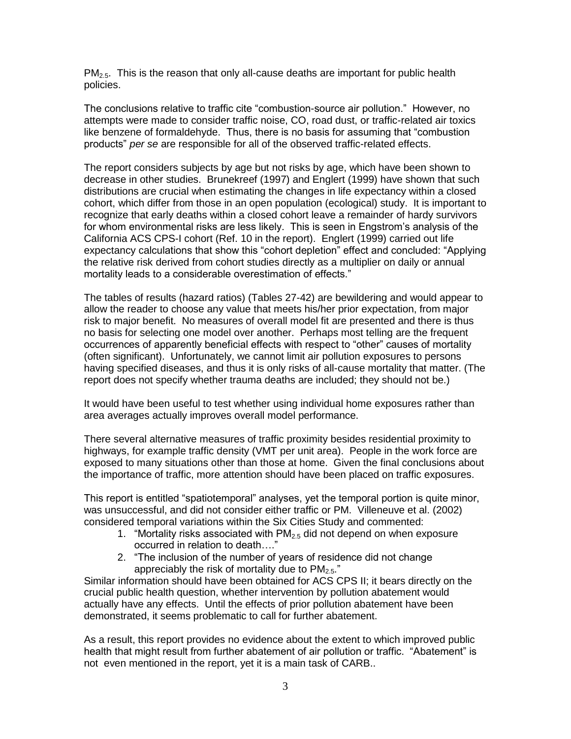$PM<sub>2.5</sub>$ . This is the reason that only all-cause deaths are important for public health policies.

The conclusions relative to traffic cite "combustion-source air pollution." However, no attempts were made to consider traffic noise, CO, road dust, or traffic-related air toxics like benzene of formaldehyde. Thus, there is no basis for assuming that "combustion products" *per se* are responsible for all of the observed traffic-related effects.

The report considers subjects by age but not risks by age, which have been shown to decrease in other studies. Brunekreef (1997) and Englert (1999) have shown that such distributions are crucial when estimating the changes in life expectancy within a closed cohort, which differ from those in an open population (ecological) study. It is important to recognize that early deaths within a closed cohort leave a remainder of hardy survivors for whom environmental risks are less likely. This is seen in Engstrom's analysis of the California ACS CPS-I cohort (Ref. 10 in the report). Englert (1999) carried out life expectancy calculations that show this "cohort depletion" effect and concluded: "Applying the relative risk derived from cohort studies directly as a multiplier on daily or annual mortality leads to a considerable overestimation of effects."

The tables of results (hazard ratios) (Tables 27-42) are bewildering and would appear to allow the reader to choose any value that meets his/her prior expectation, from major risk to major benefit. No measures of overall model fit are presented and there is thus no basis for selecting one model over another. Perhaps most telling are the frequent occurrences of apparently beneficial effects with respect to "other" causes of mortality (often significant). Unfortunately, we cannot limit air pollution exposures to persons having specified diseases, and thus it is only risks of all-cause mortality that matter. (The report does not specify whether trauma deaths are included; they should not be.)

It would have been useful to test whether using individual home exposures rather than area averages actually improves overall model performance.

There several alternative measures of traffic proximity besides residential proximity to highways, for example traffic density (VMT per unit area). People in the work force are exposed to many situations other than those at home. Given the final conclusions about the importance of traffic, more attention should have been placed on traffic exposures.

This report is entitled "spatiotemporal" analyses, yet the temporal portion is quite minor, was unsuccessful, and did not consider either traffic or PM. Villeneuve et al. (2002) considered temporal variations within the Six Cities Study and commented:

- 1. "Mortality risks associated with  $PM<sub>2.5</sub>$  did not depend on when exposure occurred in relation to death…."
- 2. "The inclusion of the number of years of residence did not change appreciably the risk of mortality due to  $PM_{2.5}$ ."

Similar information should have been obtained for ACS CPS II; it bears directly on the crucial public health question, whether intervention by pollution abatement would actually have any effects. Until the effects of prior pollution abatement have been demonstrated, it seems problematic to call for further abatement.

As a result, this report provides no evidence about the extent to which improved public health that might result from further abatement of air pollution or traffic. "Abatement" is not even mentioned in the report, yet it is a main task of CARB..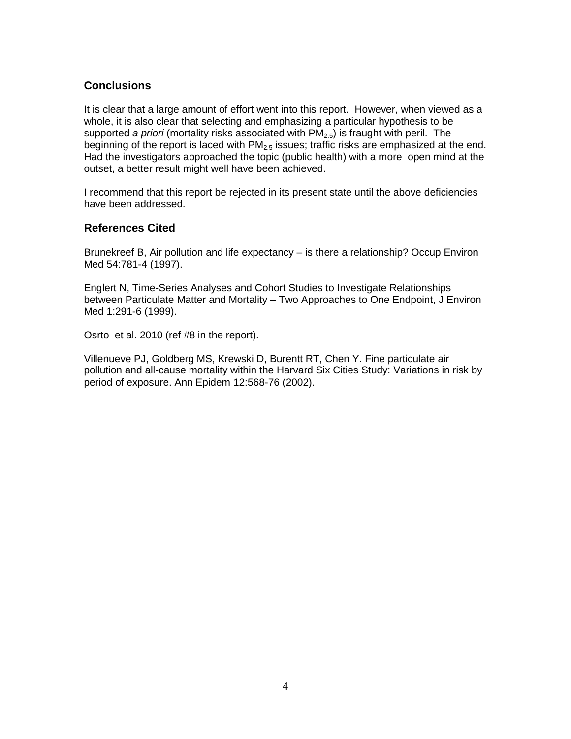# **Conclusions**

It is clear that a large amount of effort went into this report. However, when viewed as a whole, it is also clear that selecting and emphasizing a particular hypothesis to be supported *a priori* (mortality risks associated with PM<sub>2.5</sub>) is fraught with peril. The beginning of the report is laced with  $PM_{2.5}$  issues; traffic risks are emphasized at the end. Had the investigators approached the topic (public health) with a more open mind at the outset, a better result might well have been achieved.

I recommend that this report be rejected in its present state until the above deficiencies have been addressed.

# **References Cited**

Brunekreef B, Air pollution and life expectancy – is there a relationship? Occup Environ Med 54:781-4 (1997).

Englert N, Time-Series Analyses and Cohort Studies to Investigate Relationships between Particulate Matter and Mortality – Two Approaches to One Endpoint, J Environ Med 1:291-6 (1999).

Osrto et al. 2010 (ref #8 in the report).

Villenueve PJ, Goldberg MS, Krewski D, Burentt RT, Chen Y. Fine particulate air pollution and all-cause mortality within the Harvard Six Cities Study: Variations in risk by period of exposure. Ann Epidem 12:568-76 (2002).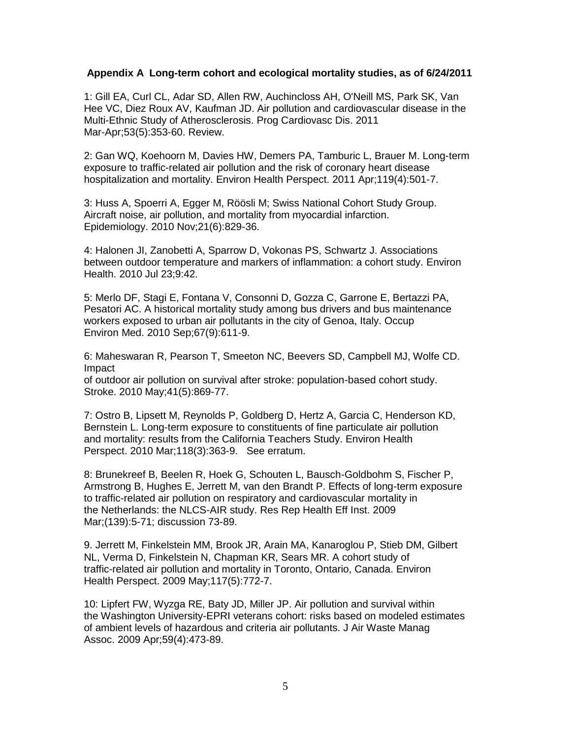#### **Appendix A Long-term cohort and ecological mortality studies, as of 6/24/2011**

1: Gill EA, Curl CL, Adar SD, Allen RW, Auchincloss AH, O'Neill MS, Park SK, Van Hee VC, Diez Roux AV, Kaufman JD. Air pollution and cardiovascular disease in the Multi-Ethnic Study of Atherosclerosis. Prog Cardiovasc Dis. 2011 Mar-Apr;53(5):353-60. Review.

2: Gan WQ, Koehoorn M, Davies HW, Demers PA, Tamburic L, Brauer M. Long-term exposure to traffic-related air pollution and the risk of coronary heart disease hospitalization and mortality. Environ Health Perspect. 2011 Apr;119(4):501-7.

3: Huss A, Spoerri A, Egger M, Röösli M; Swiss National Cohort Study Group. Aircraft noise, air pollution, and mortality from myocardial infarction. Epidemiology. 2010 Nov;21(6):829-36.

4: Halonen JI, Zanobetti A, Sparrow D, Vokonas PS, Schwartz J. Associations between outdoor temperature and markers of inflammation: a cohort study. Environ Health. 2010 Jul 23;9:42.

5: Merlo DF, Stagi E, Fontana V, Consonni D, Gozza C, Garrone E, Bertazzi PA, Pesatori AC. A historical mortality study among bus drivers and bus maintenance workers exposed to urban air pollutants in the city of Genoa, Italy. Occup Environ Med. 2010 Sep;67(9):611-9.

6: Maheswaran R, Pearson T, Smeeton NC, Beevers SD, Campbell MJ, Wolfe CD. Impact

of outdoor air pollution on survival after stroke: population-based cohort study. Stroke. 2010 May;41(5):869-77.

7: Ostro B, Lipsett M, Reynolds P, Goldberg D, Hertz A, Garcia C, Henderson KD, Bernstein L. Long-term exposure to constituents of fine particulate air pollution and mortality: results from the California Teachers Study. Environ Health Perspect. 2010 Mar;118(3):363-9. See erratum.

8: Brunekreef B, Beelen R, Hoek G, Schouten L, Bausch-Goldbohm S, Fischer P, Armstrong B, Hughes E, Jerrett M, van den Brandt P. Effects of long-term exposure to traffic-related air pollution on respiratory and cardiovascular mortality in the Netherlands: the NLCS-AIR study. Res Rep Health Eff Inst. 2009 Mar;(139):5-71; discussion 73-89.

9. Jerrett M, Finkelstein MM, Brook JR, Arain MA, Kanaroglou P, Stieb DM, Gilbert NL, Verma D, Finkelstein N, Chapman KR, Sears MR. A cohort study of traffic-related air pollution and mortality in Toronto, Ontario, Canada. Environ Health Perspect. 2009 May;117(5):772-7.

10: Lipfert FW, Wyzga RE, Baty JD, Miller JP. Air pollution and survival within the Washington University-EPRI veterans cohort: risks based on modeled estimates of ambient levels of hazardous and criteria air pollutants. J Air Waste Manag Assoc. 2009 Apr;59(4):473-89.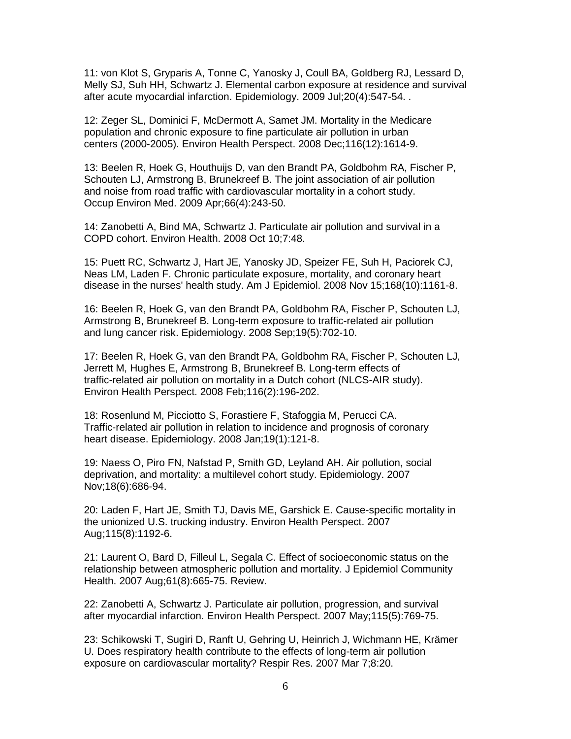11: von Klot S, Gryparis A, Tonne C, Yanosky J, Coull BA, Goldberg RJ, Lessard D, Melly SJ, Suh HH, Schwartz J. Elemental carbon exposure at residence and survival after acute myocardial infarction. Epidemiology. 2009 Jul;20(4):547-54. .

12: Zeger SL, Dominici F, McDermott A, Samet JM. Mortality in the Medicare population and chronic exposure to fine particulate air pollution in urban centers (2000-2005). Environ Health Perspect. 2008 Dec;116(12):1614-9.

13: Beelen R, Hoek G, Houthuijs D, van den Brandt PA, Goldbohm RA, Fischer P, Schouten LJ, Armstrong B, Brunekreef B. The joint association of air pollution and noise from road traffic with cardiovascular mortality in a cohort study. Occup Environ Med. 2009 Apr;66(4):243-50.

14: Zanobetti A, Bind MA, Schwartz J. Particulate air pollution and survival in a COPD cohort. Environ Health. 2008 Oct 10;7:48.

15: Puett RC, Schwartz J, Hart JE, Yanosky JD, Speizer FE, Suh H, Paciorek CJ, Neas LM, Laden F. Chronic particulate exposure, mortality, and coronary heart disease in the nurses' health study. Am J Epidemiol. 2008 Nov 15;168(10):1161-8.

16: Beelen R, Hoek G, van den Brandt PA, Goldbohm RA, Fischer P, Schouten LJ, Armstrong B, Brunekreef B. Long-term exposure to traffic-related air pollution and lung cancer risk. Epidemiology. 2008 Sep;19(5):702-10.

17: Beelen R, Hoek G, van den Brandt PA, Goldbohm RA, Fischer P, Schouten LJ, Jerrett M, Hughes E, Armstrong B, Brunekreef B. Long-term effects of traffic-related air pollution on mortality in a Dutch cohort (NLCS-AIR study). Environ Health Perspect. 2008 Feb;116(2):196-202.

18: Rosenlund M, Picciotto S, Forastiere F, Stafoggia M, Perucci CA. Traffic-related air pollution in relation to incidence and prognosis of coronary heart disease. Epidemiology. 2008 Jan;19(1):121-8.

19: Naess O, Piro FN, Nafstad P, Smith GD, Leyland AH. Air pollution, social deprivation, and mortality: a multilevel cohort study. Epidemiology. 2007 Nov;18(6):686-94.

20: Laden F, Hart JE, Smith TJ, Davis ME, Garshick E. Cause-specific mortality in the unionized U.S. trucking industry. Environ Health Perspect. 2007 Aug;115(8):1192-6.

21: Laurent O, Bard D, Filleul L, Segala C. Effect of socioeconomic status on the relationship between atmospheric pollution and mortality. J Epidemiol Community Health. 2007 Aug;61(8):665-75. Review.

22: Zanobetti A, Schwartz J. Particulate air pollution, progression, and survival after myocardial infarction. Environ Health Perspect. 2007 May;115(5):769-75.

23: Schikowski T, Sugiri D, Ranft U, Gehring U, Heinrich J, Wichmann HE, Krämer U. Does respiratory health contribute to the effects of long-term air pollution exposure on cardiovascular mortality? Respir Res. 2007 Mar 7;8:20.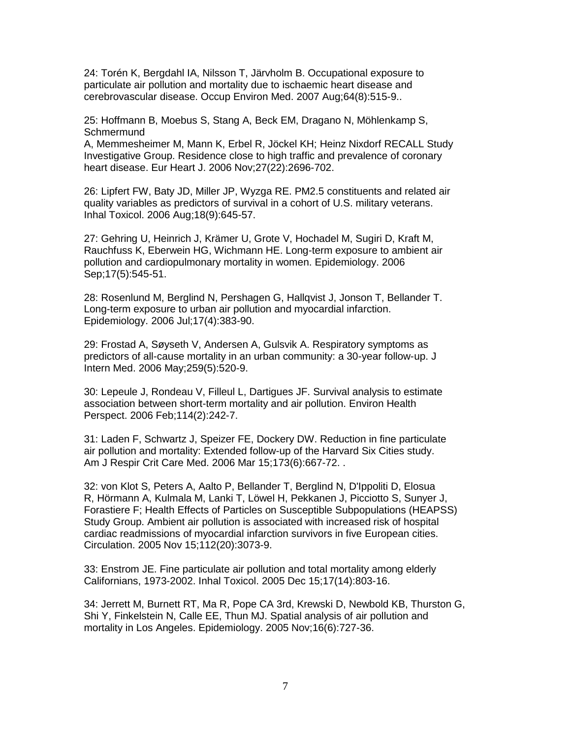24: Torén K, Bergdahl IA, Nilsson T, Järvholm B. Occupational exposure to particulate air pollution and mortality due to ischaemic heart disease and cerebrovascular disease. Occup Environ Med. 2007 Aug;64(8):515-9..

25: Hoffmann B, Moebus S, Stang A, Beck EM, Dragano N, Möhlenkamp S, **Schmermund** 

A, Memmesheimer M, Mann K, Erbel R, Jöckel KH; Heinz Nixdorf RECALL Study Investigative Group. Residence close to high traffic and prevalence of coronary heart disease. Eur Heart J. 2006 Nov;27(22):2696-702.

26: Lipfert FW, Baty JD, Miller JP, Wyzga RE. PM2.5 constituents and related air quality variables as predictors of survival in a cohort of U.S. military veterans. Inhal Toxicol. 2006 Aug;18(9):645-57.

27: Gehring U, Heinrich J, Krämer U, Grote V, Hochadel M, Sugiri D, Kraft M, Rauchfuss K, Eberwein HG, Wichmann HE. Long-term exposure to ambient air pollution and cardiopulmonary mortality in women. Epidemiology. 2006 Sep;17(5):545-51.

28: Rosenlund M, Berglind N, Pershagen G, Hallqvist J, Jonson T, Bellander T. Long-term exposure to urban air pollution and myocardial infarction. Epidemiology. 2006 Jul;17(4):383-90.

29: Frostad A, Søyseth V, Andersen A, Gulsvik A. Respiratory symptoms as predictors of all-cause mortality in an urban community: a 30-year follow-up. J Intern Med. 2006 May;259(5):520-9.

30: Lepeule J, Rondeau V, Filleul L, Dartigues JF. Survival analysis to estimate association between short-term mortality and air pollution. Environ Health Perspect. 2006 Feb;114(2):242-7.

31: Laden F, Schwartz J, Speizer FE, Dockery DW. Reduction in fine particulate air pollution and mortality: Extended follow-up of the Harvard Six Cities study. Am J Respir Crit Care Med. 2006 Mar 15;173(6):667-72. .

32: von Klot S, Peters A, Aalto P, Bellander T, Berglind N, D'Ippoliti D, Elosua R, Hörmann A, Kulmala M, Lanki T, Löwel H, Pekkanen J, Picciotto S, Sunyer J, Forastiere F; Health Effects of Particles on Susceptible Subpopulations (HEAPSS) Study Group. Ambient air pollution is associated with increased risk of hospital cardiac readmissions of myocardial infarction survivors in five European cities. Circulation. 2005 Nov 15;112(20):3073-9.

33: Enstrom JE. Fine particulate air pollution and total mortality among elderly Californians, 1973-2002. Inhal Toxicol. 2005 Dec 15;17(14):803-16.

34: Jerrett M, Burnett RT, Ma R, Pope CA 3rd, Krewski D, Newbold KB, Thurston G, Shi Y, Finkelstein N, Calle EE, Thun MJ. Spatial analysis of air pollution and mortality in Los Angeles. Epidemiology. 2005 Nov;16(6):727-36.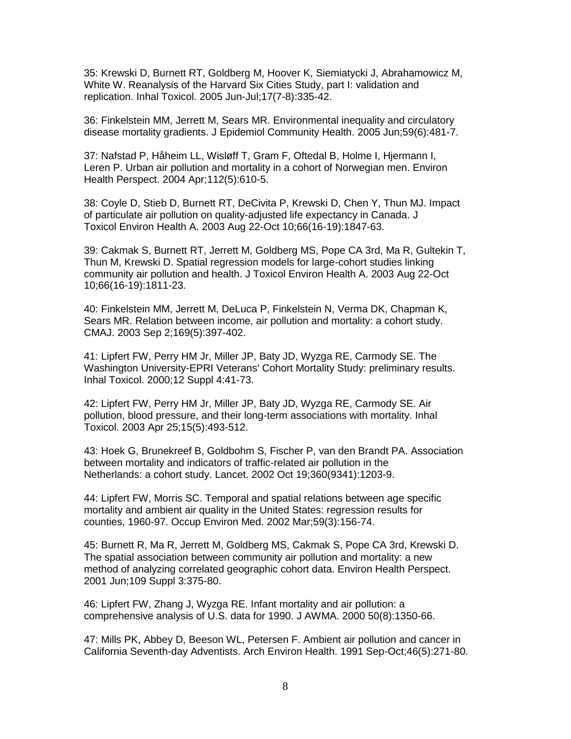35: Krewski D, Burnett RT, Goldberg M, Hoover K, Siemiatycki J, Abrahamowicz M, White W. Reanalysis of the Harvard Six Cities Study, part I: validation and replication. Inhal Toxicol. 2005 Jun-Jul;17(7-8):335-42.

36: Finkelstein MM, Jerrett M, Sears MR. Environmental inequality and circulatory disease mortality gradients. J Epidemiol Community Health. 2005 Jun;59(6):481-7.

37: Nafstad P, Håheim LL, Wisløff T, Gram F, Oftedal B, Holme I, Hjermann I, Leren P. Urban air pollution and mortality in a cohort of Norwegian men. Environ Health Perspect. 2004 Apr;112(5):610-5.

38: Coyle D, Stieb D, Burnett RT, DeCivita P, Krewski D, Chen Y, Thun MJ. Impact of particulate air pollution on quality-adjusted life expectancy in Canada. J Toxicol Environ Health A. 2003 Aug 22-Oct 10;66(16-19):1847-63.

39: Cakmak S, Burnett RT, Jerrett M, Goldberg MS, Pope CA 3rd, Ma R, Gultekin T, Thun M, Krewski D. Spatial regression models for large-cohort studies linking community air pollution and health. J Toxicol Environ Health A. 2003 Aug 22-Oct 10;66(16-19):1811-23.

40: Finkelstein MM, Jerrett M, DeLuca P, Finkelstein N, Verma DK, Chapman K, Sears MR. Relation between income, air pollution and mortality: a cohort study. CMAJ. 2003 Sep 2;169(5):397-402.

41: Lipfert FW, Perry HM Jr, Miller JP, Baty JD, Wyzga RE, Carmody SE. The Washington University-EPRI Veterans' Cohort Mortality Study: preliminary results. Inhal Toxicol. 2000;12 Suppl 4:41-73.

42: Lipfert FW, Perry HM Jr, Miller JP, Baty JD, Wyzga RE, Carmody SE. Air pollution, blood pressure, and their long-term associations with mortality. Inhal Toxicol. 2003 Apr 25;15(5):493-512.

43: Hoek G, Brunekreef B, Goldbohm S, Fischer P, van den Brandt PA. Association between mortality and indicators of traffic-related air pollution in the Netherlands: a cohort study. Lancet. 2002 Oct 19;360(9341):1203-9.

44: Lipfert FW, Morris SC. Temporal and spatial relations between age specific mortality and ambient air quality in the United States: regression results for counties, 1960-97. Occup Environ Med. 2002 Mar;59(3):156-74.

45: Burnett R, Ma R, Jerrett M, Goldberg MS, Cakmak S, Pope CA 3rd, Krewski D. The spatial association between community air pollution and mortality: a new method of analyzing correlated geographic cohort data. Environ Health Perspect. 2001 Jun;109 Suppl 3:375-80.

46: Lipfert FW, Zhang J, Wyzga RE. Infant mortality and air pollution: a comprehensive analysis of U.S. data for 1990. J AWMA. 2000 50(8):1350-66.

47: Mills PK, Abbey D, Beeson WL, Petersen F. Ambient air pollution and cancer in California Seventh-day Adventists. Arch Environ Health. 1991 Sep-Oct;46(5):271-80.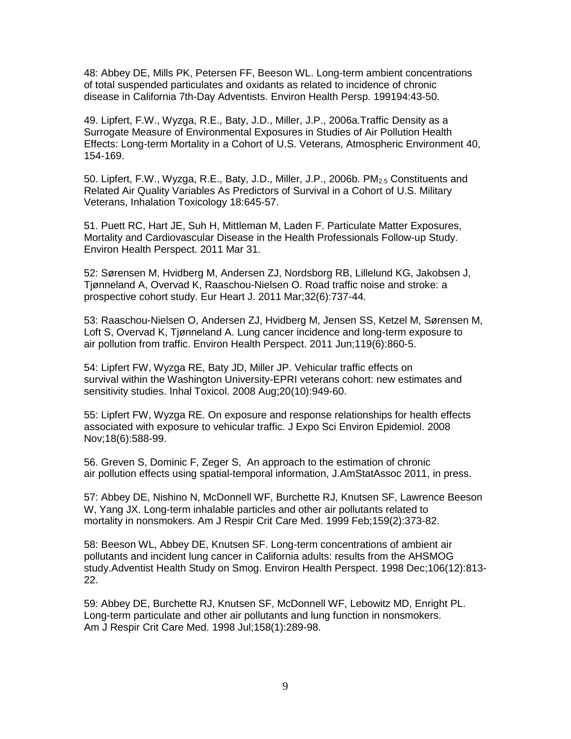48: Abbey DE, Mills PK, Petersen FF, Beeson WL. Long-term ambient concentrations of total suspended particulates and oxidants as related to incidence of chronic disease in California 7th-Day Adventists. Environ Health Persp. 199194:43-50.

49. Lipfert, F.W., Wyzga, R.E., Baty, J.D., Miller, J.P., 2006a.Traffic Density as a Surrogate Measure of Environmental Exposures in Studies of Air Pollution Health Effects: Long-term Mortality in a Cohort of U.S. Veterans, Atmospheric Environment 40, 154-169.

50. Lipfert, F.W., Wyzga, R.E., Baty, J.D., Miller, J.P., 2006b.  $PM_{2.5}$  Constituents and Related Air Quality Variables As Predictors of Survival in a Cohort of U.S. Military Veterans, Inhalation Toxicology 18:645-57.

51. Puett RC, Hart JE, Suh H, Mittleman M, Laden F. Particulate Matter Exposures, Mortality and Cardiovascular Disease in the Health Professionals Follow-up Study. Environ Health Perspect. 2011 Mar 31.

52: Sørensen M, Hvidberg M, Andersen ZJ, Nordsborg RB, Lillelund KG, Jakobsen J, Tjønneland A, Overvad K, Raaschou-Nielsen O. Road traffic noise and stroke: a prospective cohort study. Eur Heart J. 2011 Mar;32(6):737-44.

53: Raaschou-Nielsen O, Andersen ZJ, Hvidberg M, Jensen SS, Ketzel M, Sørensen M, Loft S, Overvad K, Tjønneland A. Lung cancer incidence and long-term exposure to air pollution from traffic. Environ Health Perspect. 2011 Jun;119(6):860-5.

54: Lipfert FW, Wyzga RE, Baty JD, Miller JP. Vehicular traffic effects on survival within the Washington University-EPRI veterans cohort: new estimates and sensitivity studies. Inhal Toxicol. 2008 Aug;20(10):949-60.

55: Lipfert FW, Wyzga RE. On exposure and response relationships for health effects associated with exposure to vehicular traffic. J Expo Sci Environ Epidemiol. 2008 Nov;18(6):588-99.

56. Greven S, Dominic F, Zeger S, An approach to the estimation of chronic air pollution effects using spatial-temporal information, J.AmStatAssoc 2011, in press.

57: Abbey DE, Nishino N, McDonnell WF, Burchette RJ, Knutsen SF, Lawrence Beeson W, Yang JX. Long-term inhalable particles and other air pollutants related to mortality in nonsmokers. Am J Respir Crit Care Med. 1999 Feb;159(2):373-82.

58: Beeson WL, Abbey DE, Knutsen SF. Long-term concentrations of ambient air pollutants and incident lung cancer in California adults: results from the AHSMOG study.Adventist Health Study on Smog. Environ Health Perspect. 1998 Dec;106(12):813- 22.

59: Abbey DE, Burchette RJ, Knutsen SF, McDonnell WF, Lebowitz MD, Enright PL. Long-term particulate and other air pollutants and lung function in nonsmokers. Am J Respir Crit Care Med. 1998 Jul;158(1):289-98.